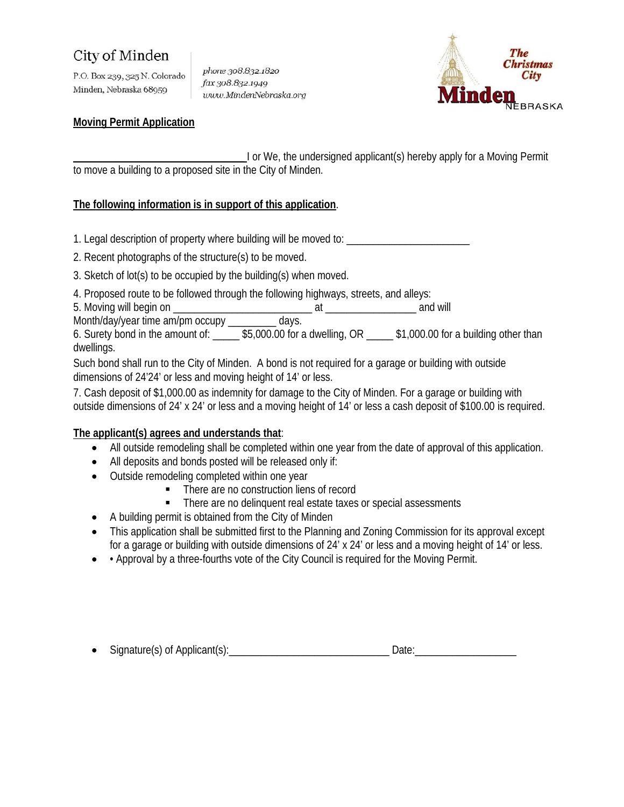# **City of Minden**

P.O. Box 239, 325 N. Colorado Minden, Nebraska 68959

phone 308.832.1820 fax 308.832.1949 www.MindenNebraska.org



#### **Moving Permit Application**

**\_\_\_\_\_\_\_\_\_\_\_\_\_\_\_\_\_\_\_\_\_\_\_\_\_\_\_\_\_\_\_\_** I or We, the undersigned applicant(s) hereby apply for a Moving Permit to move a building to a proposed site in the City of Minden.

### **The following information is in support of this application** .

1. Legal description of property where building will be moved to: \_\_\_\_\_\_\_\_\_\_\_\_\_\_\_\_\_\_\_\_\_\_\_

2. Recent photographs of the structure(s) to be moved.

- 3. Sketch of lot(s) to be occupied by the building(s) when moved.
- 4. Proposed route to be followed through the following highways, streets, and alleys:

5. Moving will begin on \_\_\_\_\_\_\_\_\_\_\_\_\_\_\_\_\_\_\_\_\_\_\_\_\_\_ at \_\_\_\_\_\_\_\_\_\_\_\_\_\_\_\_\_ and will

Month/day/year time am/pm occupy \_\_\_\_\_\_\_\_\_ days.

6. Surety bond in the amount of: \_\_\_\_\_ \$5,000.00 for a dwelling, OR \_\_\_\_\_ \$1,000.00 for a building other than dwellings.

Such bond shall run to the City of Minden. A bond is not required for a garage or building with outside dimensions of 24'24' or less and moving height of 14' or less.

7. Cash deposit of \$1,000.00 as indemnity for damage to the City of Minden. For a garage or building with outside dimensions of 24' x 24' or less and a moving height of 14' or less a cash deposit of \$100.00 is required.

### **The applicant(s) agrees and understands that** :

- All outside remodeling shall be completed within one year from the date of approval of this application.
- All deposits and bonds posted will be released only if:
- Outside remodeling completed within one year
	- There are no construction liens of record
	- There are no delinquent real estate taxes or special assessments
- A building permit is obtained from the City of Minden
- This application shall be submitted first to the Planning and Zoning Commission for its approval except for a garage or building with outside dimensions of 24' x 24' or less and a moving height of 14' or less.
- Approval by a three-fourths vote of the City Council is required for the Moving Permit.

| $\bullet$ | Signature(s) of Applicant(s). |  |  |
|-----------|-------------------------------|--|--|
|-----------|-------------------------------|--|--|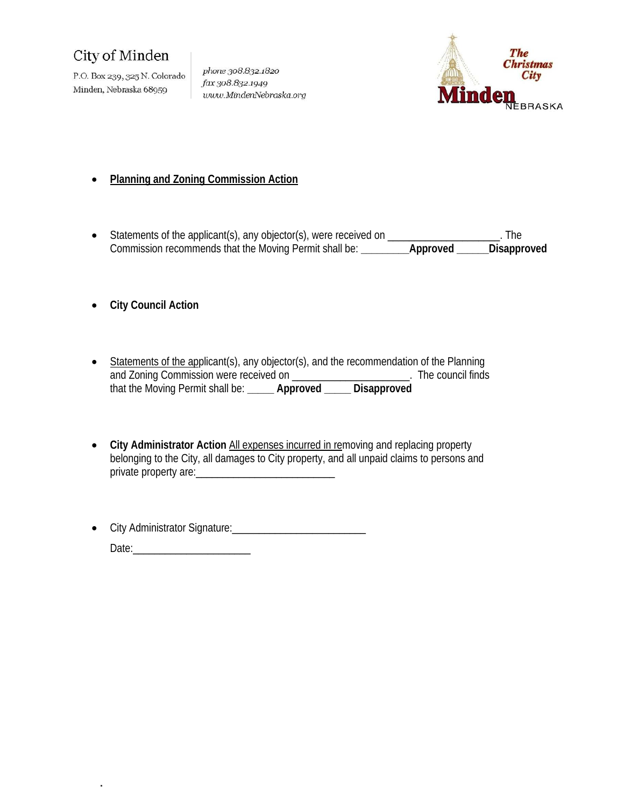# City of Minden

P.O. Box 239, 325 N. Colorado Minden, Nebraska 68959

phone 308.832.1820 fax 308.832.1949 www.MindenNebraska.org



### • **Planning and Zoning Commission Action**

- Statements of the applicant(s), any objector(s), were received on \_\_\_\_\_\_\_\_\_\_\_\_\_\_\_\_\_\_\_\_\_. The Commission recommends that the Moving Permit shall be: **\_\_\_\_\_\_\_\_\_Approved \_\_\_\_\_\_Disapproved**
- **City Council Action**
- Statements of the applicant(s), any objector(s), and the recommendation of the Planning and Zoning Commission were received on \_\_\_\_\_\_\_\_\_\_\_\_\_\_\_\_\_\_\_\_\_\_\_. The council finds that the Moving Permit shall be: **\_\_\_\_\_ Approved \_\_\_\_\_ Disapproved**
- City Administrator Action All expenses incurred in removing and replacing property belonging to the City, all damages to City property, and all unpaid claims to persons and private property are:
- City Administrator Signature:\_\_\_\_\_\_\_\_\_\_\_\_\_\_\_\_\_\_\_\_\_\_\_\_\_ Date:\_\_\_\_\_\_\_\_\_\_\_\_\_\_\_\_\_\_\_\_\_\_